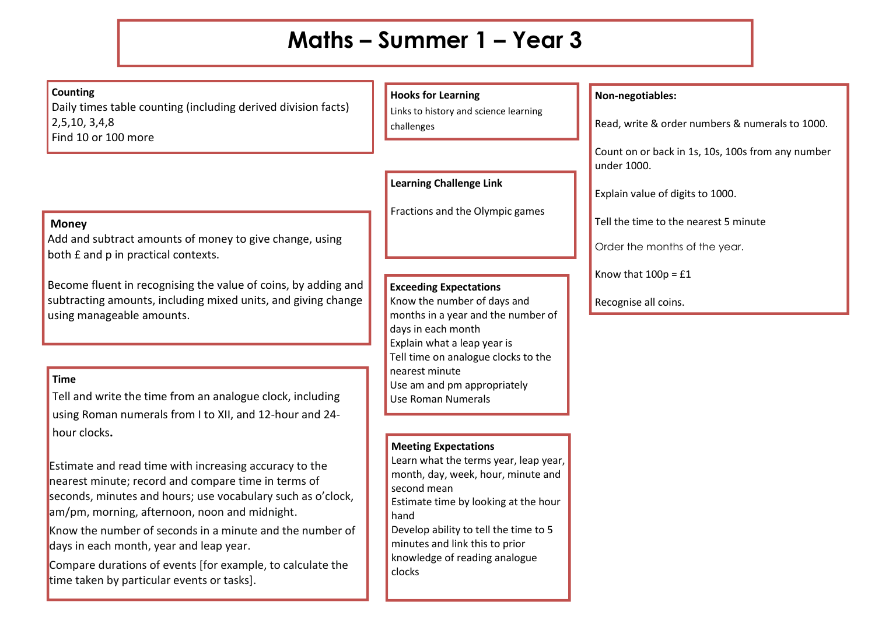## **Maths – Summer 1 – Year 3**

**Counting**

Daily times table counting (including derived division facts) 2,5,10, 3,4,8 Find 10 or 100 more

#### **Money**

Add and subtract amounts of money to give change, using both £ and p in practical contexts.

Become fluent in recognising the value of coins, by adding and subtracting amounts, including mixed units, and giving change using manageable amounts.

## **Time**

Tell and write the time from an analogue clock, including using Roman numerals from I to XII, and 12-hour and 24 hour clocks**.**

Estimate and read time with increasing accuracy to the nearest minute; record and compare time in terms of seconds, minutes and hours; use vocabulary such as o'clock, am/pm, morning, afternoon, noon and midnight.

Know the number of seconds in a minute and the number of days in each month, year and leap year.

Compare durations of events [for example, to calculate the time taken by particular events or tasks].

## **Hooks for Learning**

Links to history and science learning challenges

**Learning Challenge Link**

Fractions and the Olympic games

## **Exceeding Expectations**

Know the number of days and months in a year and the number of days in each month Explain what a leap year is Tell time on analogue clocks to the nearest minute Use am and pm appropriately Use Roman Numerals

#### **Meeting Expectations**

Learn what the terms year, leap year, month, day, week, hour, minute and second mean Estimate time by looking at the hour hand

Develop ability to tell the time to 5 minutes and link this to prior knowledge of reading analogue clocks

### **Non-negotiables:**

Read, write & order numbers & numerals to 1000.

Count on or back in 1s, 10s, 100s from any number under 1000.

Explain value of digits to 1000.

Tell the time to the nearest 5 minute

Order the months of the year.

Know that  $100p = £1$ 

Recognise all coins.